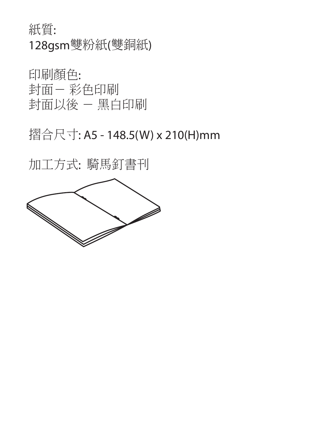紙質: 128gsm雙粉紙(雙銅紙)

印刷顏色: 封面- 彩色印刷 封面以後 - 黑白印刷

## 摺合尺寸: A5 - 148.5(W) x 210(H)mm

加工方式: 騎馬釘書刊

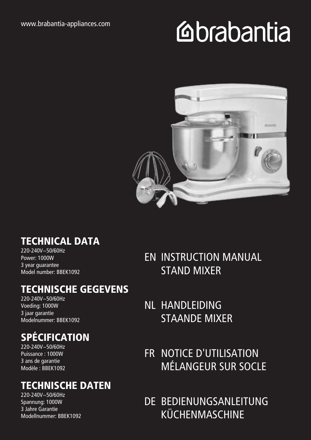# **Mabantia**



#### TECHNICAL DATA

220-240V~50/60Hz Power: 1000W 3 year guarantee Model number: BBEK1092

#### TECHNISCHE GEGEVENS

220-240V~50/60Hz Voeding: 1000W 3 jaar garantie Modelnummer: BBEK1092

## SPÉCIFICATION

220-240V~50/60Hz Puissance : 1000W 3 ans de garantie Modèle : BBEK1092

#### TECHNISCHE DATEN

220-240V~50/60Hz Spannung: 1000W 3 Jahre Garantie Modellnummer: BBEK1092 EN INSTRUCTION MANUAL STAND MIXER

- NL HANDLEIDING STAANDE MIXER
- FR NOTICE D'UTILISATION MÉLANGEUR SUR SOCLE
- DE BEDIENUNGSANLEITUNG KÜCHENMASCHINE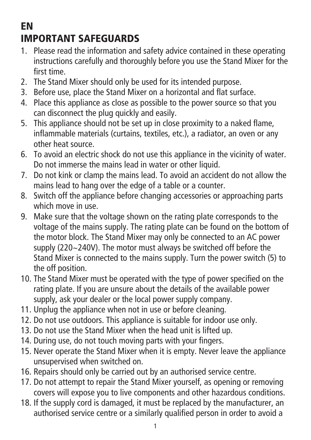## EN IMPORTANT SAFEGUARDS

- 1. Please read the information and safety advice contained in these operating instructions carefully and thoroughly before you use the Stand Mixer for the first time.
- 2. The Stand Mixer should only be used for its intended purpose.
- 3. Before use, place the Stand Mixer on a horizontal and flat surface.
- 4. Place this appliance as close as possible to the power source so that you can disconnect the plug quickly and easily.
- 5. This appliance should not be set up in close proximity to a naked flame, inflammable materials (curtains, textiles, etc.), a radiator, an oven or any other heat source.
- 6. To avoid an electric shock do not use this appliance in the vicinity of water. Do not immerse the mains lead in water or other liquid.
- 7. Do not kink or clamp the mains lead. To avoid an accident do not allow the mains lead to hang over the edge of a table or a counter.
- 8. Switch off the appliance before changing accessories or approaching parts which move in use.
- 9. Make sure that the voltage shown on the rating plate corresponds to the voltage of the mains supply. The rating plate can be found on the bottom of the motor block. The Stand Mixer may only be connected to an AC power supply (220~240V). The motor must always be switched off before the Stand Mixer is connected to the mains supply. Turn the power switch (5) to the off position.
- 10. The Stand Mixer must be operated with the type of power specified on the rating plate. If you are unsure about the details of the available power supply, ask your dealer or the local power supply company.
- 11. Unplug the appliance when not in use or before cleaning.
- 12. Do not use outdoors. This appliance is suitable for indoor use only.
- 13. Do not use the Stand Mixer when the head unit is lifted up.
- 14. During use, do not touch moving parts with your fingers.
- 15. Never operate the Stand Mixer when it is empty. Never leave the appliance unsupervised when switched on.
- 16. Repairs should only be carried out by an authorised service centre.
- 17. Do not attempt to repair the Stand Mixer yourself, as opening or removing covers will expose you to live components and other hazardous conditions.
- 18. If the supply cord is damaged, it must be replaced by the manufacturer, an authorised service centre or a similarly qualified person in order to avoid a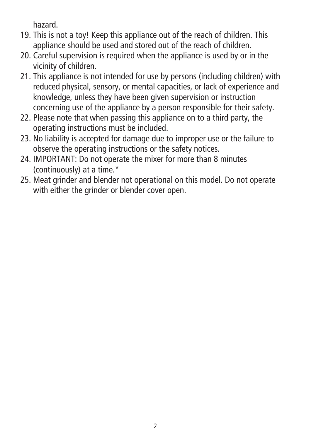hazard.

- 19. This is not a toy! Keep this appliance out of the reach of children. This appliance should be used and stored out of the reach of children.
- 20. Careful supervision is required when the appliance is used by or in the vicinity of children.
- 21. This appliance is not intended for use by persons (including children) with reduced physical, sensory, or mental capacities, or lack of experience and knowledge, unless they have been given supervision or instruction concerning use of the appliance by a person responsible for their safety.
- 22. Please note that when passing this appliance on to a third party, the operating instructions must be included.
- 23. No liability is accepted for damage due to improper use or the failure to observe the operating instructions or the safety notices.
- 24. IMPORTANT: Do not operate the mixer for more than 8 minutes (continuously) at a time.\*
- 25. Meat grinder and blender not operational on this model. Do not operate with either the grinder or blender cover open.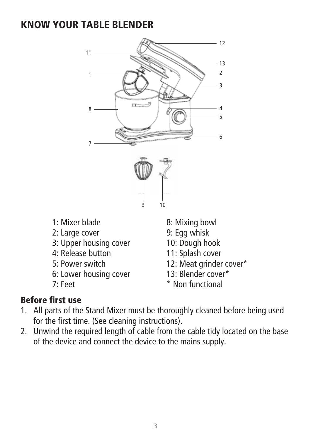#### KNOW YOUR TABLE BLENDER



- 1: Mixer blade
- 2: Large cover
- 3: Upper housing cover
- 4: Release button
- 5: Power switch
- 6: Lower housing cover
- 7: Feet
- 8: Mixing bowl
- 9: Egg whisk
- 10: Dough hook
- 11: Splash cover
- 12: Meat grinder cover\*
- 13: Blender cover\*
- \* Non functional

#### Before first use

- 1. All parts of the Stand Mixer must be thoroughly cleaned before being used for the first time. (See cleaning instructions).
- 2. Unwind the required length of cable from the cable tidy located on the base of the device and connect the device to the mains supply.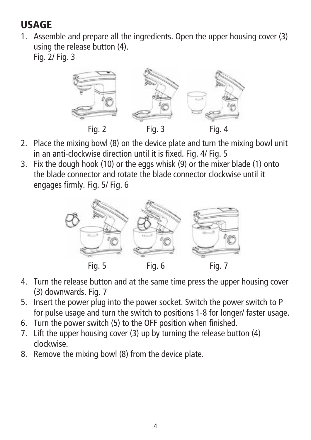## USAGE

1. Assemble and prepare all the ingredients. Open the upper housing cover (3) using the release button (4). Fig. 2/ Fig. 3

Fig. 2 Fig. 3 Fig. 4

- 2. Place the mixing bowl (8) on the device plate and turn the mixing bowl unit in an anti-clockwise direction until it is fixed. Fig. 4/ Fig. 5
- 3. Fix the dough hook (10) or the eggs whisk (9) or the mixer blade (1) onto the blade connector and rotate the blade connector clockwise until it engages firmly. Fig. 5/ Fig. 6



- 4. Turn the release button and at the same time press the upper housing cover (3) downwards. Fig. 7
- 5. Insert the power plug into the power socket. Switch the power switch to P for pulse usage and turn the switch to positions 1-8 for longer/ faster usage.
- 6. Turn the power switch (5) to the OFF position when finished.
- 7. Lift the upper housing cover (3) up by turning the release button (4) clockwise.
- 8. Remove the mixing bowl (8) from the device plate.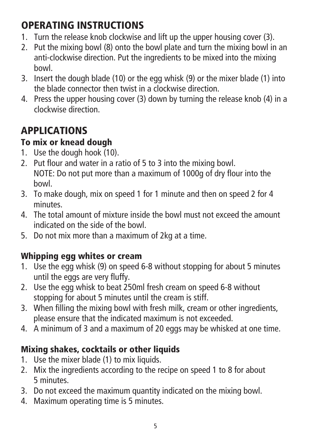## OPERATING INSTRUCTIONS

- 1. Turn the release knob clockwise and lift up the upper housing cover (3).
- 2. Put the mixing bowl (8) onto the bowl plate and turn the mixing bowl in an anti-clockwise direction. Put the ingredients to be mixed into the mixing bowl.
- 3. Insert the dough blade (10) or the egg whisk (9) or the mixer blade (1) into the blade connector then twist in a clockwise direction.
- 4. Press the upper housing cover (3) down by turning the release knob (4) in a clockwise direction.

## APPLICATIONS

#### To mix or knead dough

- 1. Use the dough hook (10).
- 2. Put flour and water in a ratio of 5 to 3 into the mixing bowl. NOTE: Do not put more than a maximum of 1000g of dry flour into the bowl.
- 3. To make dough, mix on speed 1 for 1 minute and then on speed 2 for 4 minutes.
- 4. The total amount of mixture inside the bowl must not exceed the amount indicated on the side of the bowl.
- 5. Do not mix more than a maximum of 2kg at a time.

#### Whipping egg whites or cream

- 1. Use the egg whisk (9) on speed 6-8 without stopping for about 5 minutes until the eggs are very fluffy.
- 2. Use the egg whisk to beat 250ml fresh cream on speed 6-8 without stopping for about 5 minutes until the cream is stiff.
- 3. When filling the mixing bowl with fresh milk, cream or other ingredients, please ensure that the indicated maximum is not exceeded.
- 4. A minimum of 3 and a maximum of 20 eggs may be whisked at one time.

#### Mixing shakes, cocktails or other liquids

- 1. Use the mixer blade (1) to mix liquids.
- 2. Mix the ingredients according to the recipe on speed 1 to 8 for about 5 minutes.
- 3. Do not exceed the maximum quantity indicated on the mixing bowl.
- 4. Maximum operating time is 5 minutes.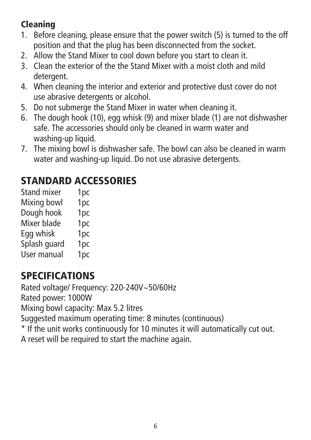#### Cleaning

- 1. Before cleaning, please ensure that the power switch (5) is turned to the off position and that the plug has been disconnected from the socket.
- 2. Allow the Stand Mixer to cool down before you start to clean it.
- 3. Clean the exterior of the the Stand Mixer with a moist cloth and mild detergent.
- 4. When cleaning the interior and exterior and protective dust cover do not use abrasive detergents or alcohol.
- 5. Do not submerge the Stand Mixer in water when cleaning it.
- 6. The dough hook (10), egg whisk (9) and mixer blade (1) are not dishwasher safe. The accessories should only be cleaned in warm water and washing-up liquid.
- 7. The mixing bowl is dishwasher safe. The bowl can also be cleaned in warm water and washing-up liquid. Do not use abrasive detergents.

## STANDARD ACCESSORIES

| <b>Stand mixer</b> | 1 <sub>pc</sub> |
|--------------------|-----------------|
| Mixing bowl        | 1pc             |
| Dough hook         | 1pc             |
| Mixer blade        | 1pc             |
| Egg whisk          | 1pc             |
| Splash guard       | 1pc             |
| User manual        | 1pc             |

## SPECIFICATIONS

Rated voltage/ Frequency: 220-240V~50/60Hz

Rated power: 1000W

Mixing bowl capacity: Max 5.2 litres

Suggested maximum operating time: 8 minutes (continuous)

\* If the unit works continuously for 10 minutes it will automatically cut out.

A reset will be required to start the machine again.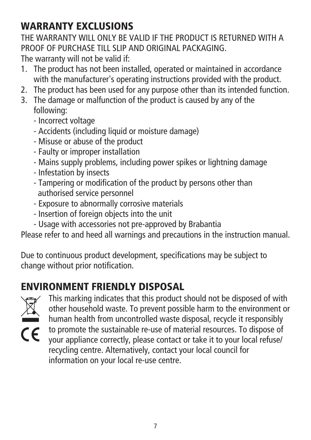## WARRANTY EXCLUSIONS

THE WARRANTY WILL ONLY BE VALID IF THE PRODUCT IS RETURNED WITH A PROOF OF PURCHASE TILL SLIP AND ORIGINAL PACKAGING. The warranty will not be valid if:

- 1. The product has not been installed, operated or maintained in accordance with the manufacturer's operating instructions provided with the product.
- 2. The product has been used for any purpose other than its intended function.
- 3. The damage or malfunction of the product is caused by any of the following:
	- Incorrect voltage
	- Accidents (including liquid or moisture damage)
	- Misuse or abuse of the product
	- Faulty or improper installation
	- Mains supply problems, including power spikes or lightning damage
	- Infestation by insects
	- Tampering or modification of the product by persons other than authorised service personnel
	- Exposure to abnormally corrosive materials
	- Insertion of foreign objects into the unit
	- Usage with accessories not pre-approved by Brabantia

Please refer to and heed all warnings and precautions in the instruction manual.

Due to continuous product development, specifications may be subject to change without prior notification.

## ENVIRONMENT FRIENDLY DISPOSAL



This marking indicates that this product should not be disposed of with other household waste. To prevent possible harm to the environment or human health from uncontrolled waste disposal, recycle it responsibly to promote the sustainable re-use of material resources. To dispose of your appliance correctly, please contact or take it to your local refuse/ recycling centre. Alternatively, contact your local council for information on your local re-use centre.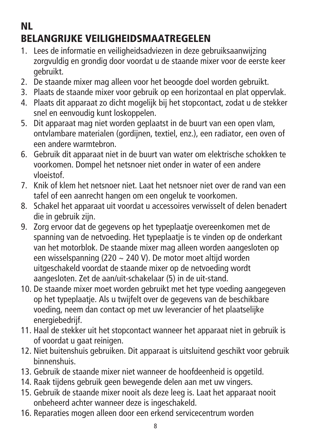## NL BELANGRIJKE VEILIGHEIDSMAATREGELEN

- 1. Lees de informatie en veiligheidsadviezen in deze gebruiksaanwijzing zorgvuldig en grondig door voordat u de staande mixer voor de eerste keer gebruikt.
- 2. De staande mixer mag alleen voor het beoogde doel worden gebruikt.
- 3. Plaats de staande mixer voor gebruik op een horizontaal en plat oppervlak.
- 4. Plaats dit apparaat zo dicht mogelijk bij het stopcontact, zodat u de stekker snel en eenvoudig kunt loskoppelen.
- 5. Dit apparaat mag niet worden geplaatst in de buurt van een open vlam, ontvlambare materialen (gordijnen, textiel, enz.), een radiator, een oven of een andere warmtebron.
- 6. Gebruik dit apparaat niet in de buurt van water om elektrische schokken te voorkomen. Dompel het netsnoer niet onder in water of een andere vloeistof.
- 7. Knik of klem het netsnoer niet. Laat het netsnoer niet over de rand van een tafel of een aanrecht hangen om een ongeluk te voorkomen.
- 8. Schakel het apparaat uit voordat u accessoires verwisselt of delen benadert die in gebruik zijn.
- 9. Zorg ervoor dat de gegevens op het typeplaatje overeenkomen met de spanning van de netvoeding. Het typeplaatje is te vinden op de onderkant van het motorblok. De staande mixer mag alleen worden aangesloten op een wisselspanning (220 ~ 240 V). De motor moet altijd worden uitgeschakeld voordat de staande mixer op de netvoeding wordt aangesloten. Zet de aan/uit-schakelaar (5) in de uit-stand.
- 10. De staande mixer moet worden gebruikt met het type voeding aangegeven op het typeplaatje. Als u twijfelt over de gegevens van de beschikbare voeding, neem dan contact op met uw leverancier of het plaatselijke energiebedrijf.
- 11. Haal de stekker uit het stopcontact wanneer het apparaat niet in gebruik is of voordat u gaat reinigen.
- 12. Niet buitenshuis gebruiken. Dit apparaat is uitsluitend geschikt voor gebruik binnenshuis.
- 13. Gebruik de staande mixer niet wanneer de hoofdeenheid is opgetild.
- 14. Raak tijdens gebruik geen bewegende delen aan met uw vingers.
- 15. Gebruik de staande mixer nooit als deze leeg is. Laat het apparaat nooit onbeheerd achter wanneer deze is ingeschakeld.
- 16. Reparaties mogen alleen door een erkend servicecentrum worden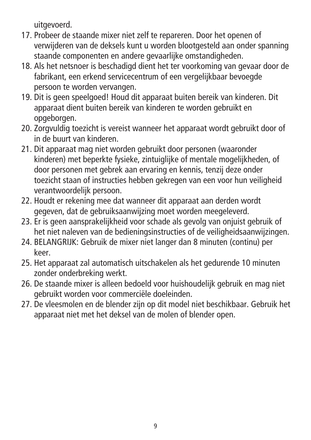uitgevoerd.

- 17. Probeer de staande mixer niet zelf te repareren. Door het openen of verwijderen van de deksels kunt u worden blootgesteld aan onder spanning staande componenten en andere gevaarlijke omstandigheden.
- 18. Als het netsnoer is beschadigd dient het ter voorkoming van gevaar door de fabrikant, een erkend servicecentrum of een vergelijkbaar bevoegde persoon te worden vervangen.
- 19. Dit is geen speelgoed! Houd dit apparaat buiten bereik van kinderen. Dit apparaat dient buiten bereik van kinderen te worden gebruikt en opgeborgen.
- 20. Zorgvuldig toezicht is vereist wanneer het apparaat wordt gebruikt door of in de buurt van kinderen.
- 21. Dit apparaat mag niet worden gebruikt door personen (waaronder kinderen) met beperkte fysieke, zintuiglijke of mentale mogelijkheden, of door personen met gebrek aan ervaring en kennis, tenzij deze onder toezicht staan of instructies hebben gekregen van een voor hun veiligheid verantwoordelijk persoon.
- 22. Houdt er rekening mee dat wanneer dit apparaat aan derden wordt gegeven, dat de gebruiksaanwijzing moet worden meegeleverd.
- 23. Er is geen aansprakelijkheid voor schade als gevolg van onjuist gebruik of het niet naleven van de bedieningsinstructies of de veiligheidsaanwijzingen.
- 24. BELANGRIJK: Gebruik de mixer niet langer dan 8 minuten (continu) per keer.
- 25. Het apparaat zal automatisch uitschakelen als het gedurende 10 minuten zonder onderbreking werkt.
- 26. De staande mixer is alleen bedoeld voor huishoudelijk gebruik en mag niet gebruikt worden voor commerciële doeleinden.
- 27. De vleesmolen en de blender zijn op dit model niet beschikbaar. Gebruik het apparaat niet met het deksel van de molen of blender open.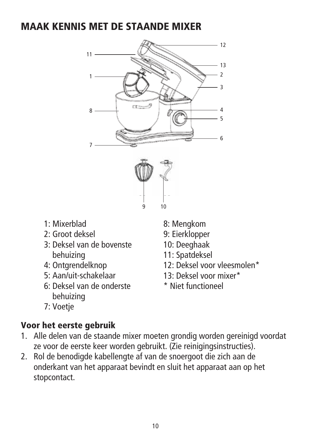#### MAAK KENNIS MET DE STAANDE MIXER



- 1: Mixerblad
- 2: Groot deksel
- 3: Deksel van de bovenste behuizing
- 4: Ontgrendelknop
- 5: Aan/uit-schakelaar
- 6: Deksel van de onderste behuizing
- 7: Voetje

#### Voor het eerste gebruik

- 1. Alle delen van de staande mixer moeten grondig worden gereinigd voordat ze voor de eerste keer worden gebruikt. (Zie reinigingsinstructies).
- 2. Rol de benodigde kabellengte af van de snoergoot die zich aan de onderkant van het apparaat bevindt en sluit het apparaat aan op het stopcontact.
- 8: Mengkom
- 9: Eierklopper
- 10: Deeghaak
- 11: Spatdeksel
- 12: Deksel voor vleesmolen\*
- 13: Deksel voor mixer\*
- \* Niet functioneel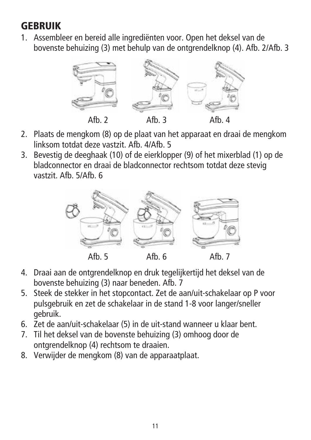#### **GEBRUIK**

1. Assembleer en bereid alle ingrediënten voor. Open het deksel van de bovenste behuizing (3) met behulp van de ontgrendelknop (4). Afb. 2/Afb. 3



- 2. Plaats de mengkom (8) op de plaat van het apparaat en draai de mengkom linksom totdat deze vastzit. Afb. 4/Afb. 5
- 3. Bevestig de deeghaak (10) of de eierklopper (9) of het mixerblad (1) op de bladconnector en draai de bladconnector rechtsom totdat deze stevig vastzit. Afb. 5/Afb. 6



- 4. Draai aan de ontgrendelknop en druk tegelijkertijd het deksel van de bovenste behuizing (3) naar beneden. Afb. 7
- 5. Steek de stekker in het stopcontact. Zet de aan/uit-schakelaar op P voor pulsgebruik en zet de schakelaar in de stand 1-8 voor langer/sneller gebruik.
- 6. Zet de aan/uit-schakelaar (5) in de uit-stand wanneer u klaar bent.
- 7. Til het deksel van de bovenste behuizing (3) omhoog door de ontgrendelknop (4) rechtsom te draaien.
- 8. Verwijder de mengkom (8) van de apparaatplaat.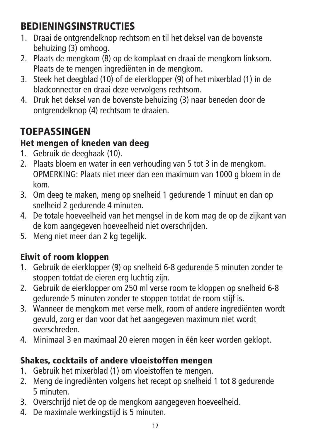## BEDIENINGSINSTRUCTIES

- 1. Draai de ontgrendelknop rechtsom en til het deksel van de bovenste behuizing (3) omhoog.
- 2. Plaats de mengkom (8) op de komplaat en draai de mengkom linksom. Plaats de te mengen ingrediënten in de mengkom.
- 3. Steek het deegblad (10) of de eierklopper (9) of het mixerblad (1) in de bladconnector en draai deze vervolgens rechtsom.
- 4. Druk het deksel van de bovenste behuizing (3) naar beneden door de ontgrendelknop (4) rechtsom te draaien.

## TOEPASSINGEN

#### Het mengen of kneden van deeg

- 1. Gebruik de deeghaak (10).
- 2. Plaats bloem en water in een verhouding van 5 tot 3 in de mengkom. OPMERKING: Plaats niet meer dan een maximum van 1000 g bloem in de kom.
- 3. Om deeg te maken, meng op snelheid 1 gedurende 1 minuut en dan op snelheid 2 gedurende 4 minuten.
- 4. De totale hoeveelheid van het mengsel in de kom mag de op de zijkant van de kom aangegeven hoeveelheid niet overschrijden.
- 5. Meng niet meer dan 2 kg tegelijk.

#### Eiwit of room kloppen

- 1. Gebruik de eierklopper (9) op snelheid 6-8 gedurende 5 minuten zonder te stoppen totdat de eieren erg luchtig zijn.
- 2. Gebruik de eierklopper om 250 ml verse room te kloppen op snelheid 6-8 gedurende 5 minuten zonder te stoppen totdat de room stijf is.
- 3. Wanneer de mengkom met verse melk, room of andere ingrediënten wordt gevuld, zorg er dan voor dat het aangegeven maximum niet wordt overschreden.
- 4. Minimaal 3 en maximaal 20 eieren mogen in één keer worden geklopt.

#### Shakes, cocktails of andere vloeistoffen mengen

- 1. Gebruik het mixerblad (1) om vloeistoffen te mengen.
- 2. Meng de ingrediënten volgens het recept op snelheid 1 tot 8 gedurende 5 minuten.
- 3. Overschrijd niet de op de mengkom aangegeven hoeveelheid.
- 4. De maximale werkingstijd is 5 minuten.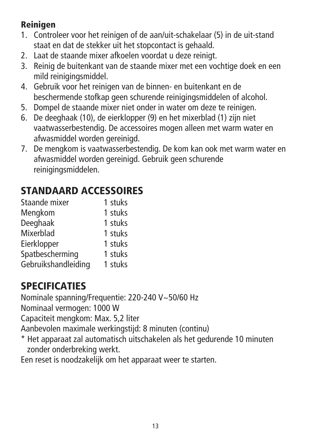#### Reinigen

- 1. Controleer voor het reinigen of de aan/uit-schakelaar (5) in de uit-stand staat en dat de stekker uit het stopcontact is gehaald.
- 2. Laat de staande mixer afkoelen voordat u deze reinigt.
- 3. Reinig de buitenkant van de staande mixer met een vochtige doek en een mild reinigingsmiddel.
- 4. Gebruik voor het reinigen van de binnen- en buitenkant en de beschermende stofkap geen schurende reinigingsmiddelen of alcohol.
- 5. Dompel de staande mixer niet onder in water om deze te reinigen.
- 6. De deeghaak (10), de eierklopper (9) en het mixerblad (1) zijn niet vaatwasserbestendig. De accessoires mogen alleen met warm water en afwasmiddel worden gereinigd.
- 7. De mengkom is vaatwasserbestendig. De kom kan ook met warm water en afwasmiddel worden gereinigd. Gebruik geen schurende reinigingsmiddelen.

#### STANDAARD ACCESSOIRES

| 1 stuks |
|---------|
| 1 stuks |
| 1 stuks |
| 1 stuks |
| 1 stuks |
| 1 stuks |
| 1 stuks |
|         |

## SPECIFICATIES

Nominale spanning/Frequentie: 220-240 V~50/60 Hz

Nominaal vermogen: 1000 W

Capaciteit mengkom: Max. 5,2 liter

Aanbevolen maximale werkingstijd: 8 minuten (continu)

\* Het apparaat zal automatisch uitschakelen als het gedurende 10 minuten zonder onderbreking werkt.

Een reset is noodzakelijk om het apparaat weer te starten.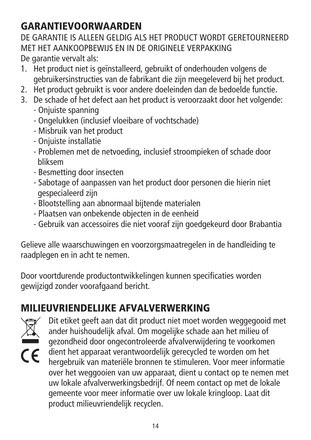## GARANTIEVOORWAARDEN

DE GARANTIE IS ALLEEN GELDIG ALS HET PRODUCT WORDT GERETOURNEERD MET HET AANKOOPBEWIJS EN IN DE ORIGINELE VERPAKKING De garantie vervalt als:

- 1. Het product niet is geïnstalleerd, gebruikt of onderhouden volgens de gebruikersinstructies van de fabrikant die zijn meegeleverd bij het product.
- 2. Het product gebruikt is voor andere doeleinden dan de bedoelde functie.
- 3. De schade of het defect aan het product is veroorzaakt door het volgende:
	- Onjuiste spanning
	- Ongelukken (inclusief vloeibare of vochtschade)
	- Misbruik van het product
	- Onjuiste installatie
	- Problemen met de netvoeding, inclusief stroompieken of schade door bliksem
	- Besmetting door insecten
	- Sabotage of aanpassen van het product door personen die hierin niet gespecialeerd zijn
	- Blootstelling aan abnormaal bijtende materialen
	- Plaatsen van onbekende objecten in de eenheid
	- Gebruik van accessoires die niet vooraf zijn goedgekeurd door Brabantia

Gelieve alle waarschuwingen en voorzorgsmaatregelen in de handleiding te raadplegen en in acht te nemen.

Door voortdurende productontwikkelingen kunnen specificaties worden gewijzigd zonder voorafgaand bericht.

## MILIEUVRIENDELIJKE AFVALVERWERKING



Dit etiket geeft aan dat dit product niet moet worden weggegooid met ander huishoudelijk afval. Om mogelijke schade aan het milieu of gezondheid door ongecontroleerde afvalverwijdering te voorkomen dient het apparaat verantwoordelijk gerecycled te worden om het hergebruik van materiële bronnen te stimuleren. Voor meer informatie over het weggooien van uw apparaat, dient u contact op te nemen met uw lokale afvalverwerkingsbedrijf. Of neem contact op met de lokale gemeente voor meer informatie over uw lokale kringloop. Laat dit product milieuvriendelijk recyclen.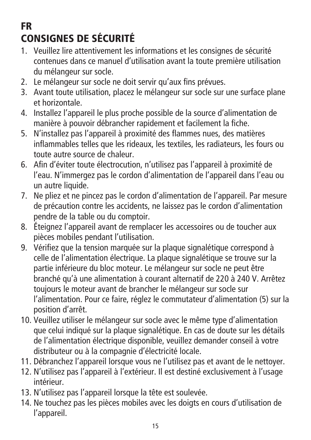## FR CONSIGNES DE SÉCURITÉ

- 1. Veuillez lire attentivement les informations et les consignes de sécurité contenues dans ce manuel d'utilisation avant la toute première utilisation du mélangeur sur socle.
- 2. Le mélangeur sur socle ne doit servir qu'aux fins prévues.
- 3. Avant toute utilisation, placez le mélangeur sur socle sur une surface plane et horizontale.
- 4. Installez l'appareil le plus proche possible de la source d'alimentation de manière à pouvoir débrancher rapidement et facilement la fiche.
- 5. N'installez pas l'appareil à proximité des flammes nues, des matières inflammables telles que les rideaux, les textiles, les radiateurs, les fours ou toute autre source de chaleur.
- 6. Afin d'éviter toute électrocution, n'utilisez pas l'appareil à proximité de l'eau. N'immergez pas le cordon d'alimentation de l'appareil dans l'eau ou un autre liquide.
- 7. Ne pliez et ne pincez pas le cordon d'alimentation de l'appareil. Par mesure de précaution contre les accidents, ne laissez pas le cordon d'alimentation pendre de la table ou du comptoir.
- 8. Éteignez l'appareil avant de remplacer les accessoires ou de toucher aux pièces mobiles pendant l'utilisation.
- 9. Vérifiez que la tension marquée sur la plaque signalétique correspond à celle de l'alimentation électrique. La plaque signalétique se trouve sur la partie inférieure du bloc moteur. Le mélangeur sur socle ne peut être branché qu'à une alimentation à courant alternatif de 220 à 240 V. Arrêtez toujours le moteur avant de brancher le mélangeur sur socle sur l'alimentation. Pour ce faire, réglez le commutateur d'alimentation (5) sur la position d'arrêt.
- 10. Veuillez utiliser le mélangeur sur socle avec le même type d'alimentation que celui indiqué sur la plaque signalétique. En cas de doute sur les détails de l'alimentation électrique disponible, veuillez demander conseil à votre distributeur ou à la compagnie d'électricité locale.
- 11. Débranchez l'appareil lorsque vous ne l'utilisez pas et avant de le nettoyer.
- 12. N'utilisez pas l'appareil à l'extérieur. Il est destiné exclusivement à l'usage intérieur.
- 13. N'utilisez pas l'appareil lorsque la tête est soulevée.
- 14. Ne touchez pas les pièces mobiles avec les doigts en cours d'utilisation de l'appareil.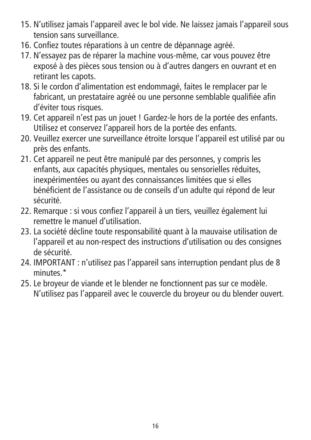- 15. N'utilisez jamais l'appareil avec le bol vide. Ne laissez jamais l'appareil sous tension sans surveillance.
- 16. Confiez toutes réparations à un centre de dépannage agréé.
- 17. N'essayez pas de réparer la machine vous-même, car vous pouvez être exposé à des pièces sous tension ou à d'autres dangers en ouvrant et en retirant les capots.
- 18. Si le cordon d'alimentation est endommagé, faites le remplacer par le fabricant, un prestataire agréé ou une personne semblable qualifiée afin d'éviter tous risques.
- 19. Cet appareil n'est pas un jouet ! Gardez-le hors de la portée des enfants. Utilisez et conservez l'appareil hors de la portée des enfants.
- 20. Veuillez exercer une surveillance étroite lorsque l'appareil est utilisé par ou près des enfants.
- 21. Cet appareil ne peut être manipulé par des personnes, y compris les enfants, aux capacités physiques, mentales ou sensorielles réduites, inexpérimentées ou ayant des connaissances limitées que si elles bénéficient de l'assistance ou de conseils d'un adulte qui répond de leur sécurité.
- 22. Remarque : si vous confiez l'appareil à un tiers, veuillez également lui remettre le manuel d'utilisation.
- 23. La société décline toute responsabilité quant à la mauvaise utilisation de<br>L'annereil et au non respect des instructions d'utilisation ou des sonsignes l'appareil et au non-respect des instructions d'utilisation ou des consignes de sécurité.
- 24. IMPORTANT : n'utilisez pas l'appareil sans interruption pendant plus de 8 minutes<sup>\*</sup>
- 25. Le broyeur de viande et le blender ne fonctionnent pas sur ce modèle. N'utilisez pas l'appareil avec le couvercle du broyeur ou du blender ouvert.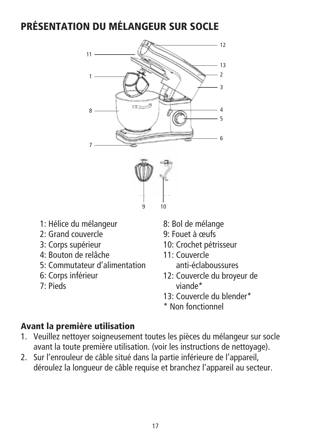## PRÉSENTATION DU MÉLANGEUR SUR SOCLE



- 1: Hélice du mélangeur
- 2: Grand couvercle
- 3: Corps supérieur
- 4: Bouton de relâche
- 5: Commutateur d'alimentation
- 6: Corps inférieur
- 7: Pieds
- 8: Bol de mélange
- 9: Fouet à œufs
- 10: Crochet pétrisseur
- 11: Couvercle anti-éclaboussures
- 12: Couvercle du broyeur de viande\*
- 13: Couvercle du blender\*
- \* Non fonctionnel

#### Avant la première utilisation

- 1. Veuillez nettoyer soigneusement toutes les pièces du mélangeur sur socle avant la toute première utilisation. (voir les instructions de nettoyage).
- 2. Sur l'enrouleur de câble situé dans la partie inférieure de l'appareil, déroulez la longueur de câble requise et branchez l'appareil au secteur.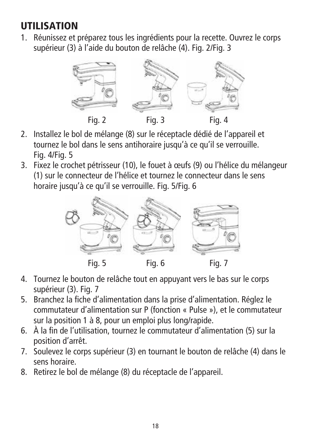#### UTILISATION

1. Réunissez et préparez tous les ingrédients pour la recette. Ouvrez le corps supérieur (3) à l'aide du bouton de relâche (4). Fig. 2/Fig. 3



- 2. Installez le bol de mélange (8) sur le réceptacle dédié de l'appareil et tournez le bol dans le sens antihoraire jusqu'à ce qu'il se verrouille. Fig. 4/Fig. 5
- 3. Fixez le crochet pétrisseur (10), le fouet à œufs (9) ou l'hélice du mélangeur (1) sur le connecteur de l'hélice et tournez le connecteur dans le sens horaire jusqu'à ce qu'il se verrouille. Fig. 5/Fig. 6



- 4. Tournez le bouton de relâche tout en appuyant vers le bas sur le corps supérieur (3). Fia. 7
- 5. Branchez la fiche d'alimentation dans la prise d'alimentation. Réglez le commutateur d'alimentation sur P (fonction « Pulse »), et le commutateur sur la position 1 à 8, pour un emploi plus long/rapide.
- 6. À la fin de l'utilisation, tournez le commutateur d'alimentation (5) sur la position d'arrêt.
- 7. Soulevez le corps supérieur (3) en tournant le bouton de relâche (4) dans le sens horaire.
- 8. Retirez le bol de mélange (8) du réceptacle de l'appareil.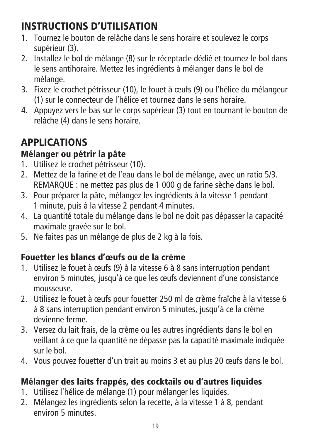## INSTRUCTIONS D'UTILISATION

- 1. Tournez le bouton de relâche dans le sens horaire et soulevez le corps supérieur (3).
- 2. Installez le bol de mélange (8) sur le réceptacle dédié et tournez le bol dans le sens antihoraire. Mettez les ingrédients à mélanger dans le bol de mélange.
- 3. Fixez le crochet pétrisseur (10), le fouet à œufs (9) ou l'hélice du mélangeur (1) sur le connecteur de l'hélice et tournez dans le sens horaire.
- 4. Appuyez vers le bas sur le corps supérieur (3) tout en tournant le bouton de relâche (4) dans le sens horaire.

## APPLICATIONS

#### Mélanger ou pétrir la pâte

- 1. Utilisez le crochet pétrisseur (10).
- 2. Mettez de la farine et de l'eau dans le bol de mélange, avec un ratio 5/3. REMARQUE : ne mettez pas plus de 1 000 g de farine sèche dans le bol.
- 3. Pour préparer la pâte, mélangez les ingrédients à la vitesse 1 pendant 1 minute, puis à la vitesse 2 pendant 4 minutes.
- 4. La quantité totale du mélange dans le bol ne doit pas dépasser la capacité maximale gravée sur le bol.
- 5. Ne faites pas un mélange de plus de 2 kg à la fois.

#### Fouetter les blancs d'œufs ou de la crème

- 1. Utilisez le fouet à œufs (9) à la vitesse 6 à 8 sans interruption pendant environ 5 minutes, jusqu'à ce que les œufs deviennent d'une consistance mousseuse.
- 2. Utilisez le fouet à œufs pour fouetter 250 ml de crème fraîche à la vitesse 6 à 8 sans interruption pendant environ 5 minutes, jusqu'à ce la crème devienne ferme.
- 3. Versez du lait frais, de la crème ou les autres ingrédients dans le bol en veillant à ce que la quantité ne dépasse pas la capacité maximale indiquée sur le bol.
- 4. Vous pouvez fouetter d'un trait au moins 3 et au plus 20 œufs dans le bol.

#### Mélanger des laits frappés, des cocktails ou d'autres liquides

- 1. Utilisez l'hélice de mélange (1) pour mélanger les liquides.
- 2. Mélangez les ingrédients selon la recette, à la vitesse 1 à 8, pendant environ 5 minutes.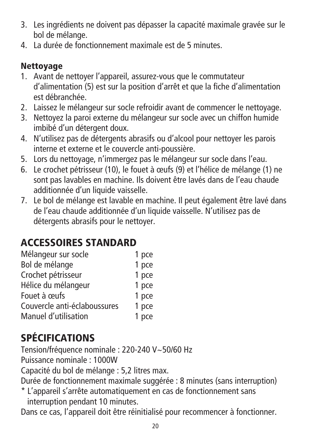- 3. Les ingrédients ne doivent pas dépasser la capacité maximale gravée sur le bol de mélange.
- 4. La durée de fonctionnement maximale est de 5 minutes.

#### Nettoyage

- 1. Avant de nettoyer l'appareil, assurez-vous que le commutateur d'alimentation (5) est sur la position d'arrêt et que la fiche d'alimentation est débranchée.
- 2. Laissez le mélangeur sur socle refroidir avant de commencer le nettoyage.
- 3. Nettoyez la paroi externe du mélangeur sur socle avec un chiffon humide imbibé d'un détergent doux.
- 4. N'utilisez pas de détergents abrasifs ou d'alcool pour nettoyer les parois interne et externe et le couvercle anti-poussière.
- 5. Lors du nettoyage, n'immergez pas le mélangeur sur socle dans l'eau.
- 6. Le crochet pétrisseur (10), le fouet à œufs (9) et l'hélice de mélange (1) ne sont pas lavables en machine. Ils doivent être lavés dans de l'eau chaude additionnée d'un liquide vaisselle.
- 7. Le bol de mélange est lavable en machine. Il peut également être lavé dans de l'eau chaude additionnée d'un liquide vaisselle. N'utilisez pas de détergents abrasifs pour le nettoyer.

## ACCESSOIRES STANDARD

| 1 pce |
|-------|
| 1 pce |
| 1 pce |
| 1 pce |
| 1 pce |
| 1 pce |
| 1 pce |
|       |

## SPÉCIFICATIONS

Tension/fréquence nominale : 220-240 V~50/60 Hz

Puissance nominale : 1000W

Capacité du bol de mélange : 5,2 litres max.

Durée de fonctionnement maximale suggérée : 8 minutes (sans interruption)

\* L'appareil s'arrête automatiquement en cas de fonctionnement sans interruption pendant 10 minutes.

Dans ce cas, l'appareil doit être réinitialisé pour recommencer à fonctionner.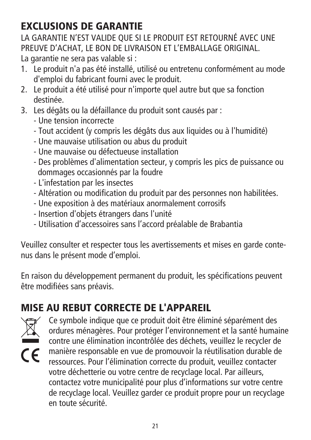## EXCLUSIONS DE GARANTIE

LA GARANTIE N'EST VALIDE QUE SI LE PRODUIT EST RETOURNÉ AVEC UNE PREUVE D'ACHAT, LE BON DE LIVRAISON ET L'EMBALLAGE ORIGINAL. La garantie ne sera pas valable si :

- 1. Le produit n'a pas été installé, utilisé ou entretenu conformément au mode d'emploi du fabricant fourni avec le produit.
- 2. Le produit a été utilisé pour n'importe quel autre but que sa fonction destinée.
- 3. Les dégâts ou la défaillance du produit sont causés par :
	- Une tension incorrecte
	- Tout accident (y compris les dégâts dus aux liquides ou à l'humidité)
	- Une mauvaise utilisation ou abus du produit
	- Une mauvaise ou défectueuse installation
	- Des problèmes d'alimentation secteur, y compris les pics de puissance ou dommages occasionnés par la foudre
	- L'infestation par les insectes
	- Altération ou modification du produit par des personnes non habilitées.
	- Une exposition à des matériaux anormalement corrosifs
	- Insertion d'objets étrangers dans l'unité
	- Utilisation d'accessoires sans l'accord préalable de Brabantia

Veuillez consulter et respecter tous les avertissements et mises en garde contenus dans le présent mode d'emploi.

En raison du développement permanent du produit, les spécifications peuvent être modifiées sans préavis.

## MISE AU REBUT CORRECTE DE L'APPAREIL



Ce symbole indique que ce produit doit être éliminé séparément des ordures ménagères. Pour protéger l'environnement et la santé humaine contre une élimination incontrôlée des déchets, veuillez le recycler de manière responsable en vue de promouvoir la réutilisation durable de ressources. Pour l'élimination correcte du produit, veuillez contacter votre déchetterie ou votre centre de recyclage local. Par ailleurs, contactez votre municipalité pour plus d'informations sur votre centre de recyclage local. Veuillez garder ce produit propre pour un recyclage en toute sécurité.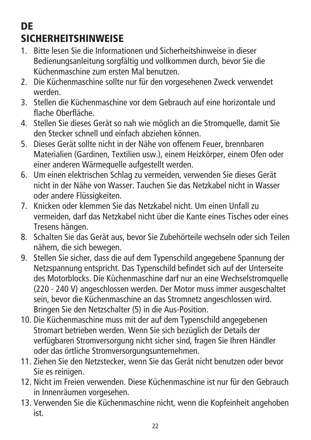## **DE** SICHERHEITSHINWEISE

- 1. Bitte lesen Sie die Informationen und Sicherheitshinweise in dieser Bedienungsanleitung sorgfältig und vollkommen durch, bevor Sie die Küchenmaschine zum ersten Mal benutzen.
- 2. Die Küchenmaschine sollte nur für den vorgesehenen Zweck verwendet werden.
- 3. Stellen die Küchenmaschine vor dem Gebrauch auf eine horizontale und flache Oberfläche.
- 4. Stellen Sie dieses Gerät so nah wie möglich an die Stromquelle, damit Sie den Stecker schnell und einfach abziehen können.
- 5. Dieses Gerät sollte nicht in der Nähe von offenem Feuer, brennbaren Materialien (Gardinen, Textilien usw.), einem Heizkörper, einem Ofen oder einer anderen Wärmequelle aufgestellt werden.
- 6. Um einen elektrischen Schlag zu vermeiden, verwenden Sie dieses Gerät nicht in der Nähe von Wasser. Tauchen Sie das Netzkabel nicht in Wasser oder andere Flüssigkeiten.
- 7. Knicken oder klemmen Sie das Netzkabel nicht. Um einen Unfall zu vermeiden, darf das Netzkabel nicht über die Kante eines Tisches oder eines Tresens hängen.
- 8. Schalten Sie das Gerät aus, bevor Sie Zubehörteile wechseln oder sich Teilen nähern, die sich bewegen.
- 9. Stellen Sie sicher, dass die auf dem Typenschild angegebene Spannung der Netzspannung entspricht. Das Typenschild befindet sich auf der Unterseite des Motorblocks. Die Küchenmaschine darf nur an eine Wechselstromquelle (220 - 240 V) angeschlossen werden. Der Motor muss immer ausgeschaltet sein, bevor die Küchenmaschine an das Stromnetz angeschlossen wird. Bringen Sie den Netzschalter (5) in die Aus-Position.
- 10. Die Küchenmaschine muss mit der auf dem Typenschild angegebenen Stromart betrieben werden. Wenn Sie sich bezüglich der Details der verfügbaren Stromversorgung nicht sicher sind, fragen Sie Ihren Händler oder das örtliche Stromversorgungsunternehmen.
- 11. Ziehen Sie den Netzstecker, wenn Sie das Gerät nicht benutzen oder bevor Sie es reinigen.
- 12. Nicht im Freien verwenden. Diese Küchenmaschine ist nur für den Gebrauch in Innenräumen vorgesehen.
- 13. Verwenden Sie die Küchenmaschine nicht, wenn die Kopfeinheit angehoben ist.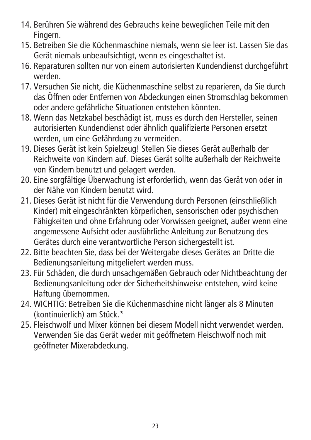- 14. Berühren Sie während des Gebrauchs keine beweglichen Teile mit den Fingern.
- 15. Betreiben Sie die Küchenmaschine niemals, wenn sie leer ist. Lassen Sie das Gerät niemals unbeaufsichtigt, wenn es eingeschaltet ist.
- 16. Reparaturen sollten nur von einem autorisierten Kundendienst durchgeführt werden.
- 17. Versuchen Sie nicht, die Küchenmaschine selbst zu reparieren, da Sie durch das Öffnen oder Entfernen von Abdeckungen einen Stromschlag bekommen oder andere gefährliche Situationen entstehen könnten.
- 18. Wenn das Netzkabel beschädigt ist, muss es durch den Hersteller, seinen autorisierten Kundendienst oder ähnlich qualifizierte Personen ersetzt werden, um eine Gefährdung zu vermeiden.
- 19. Dieses Gerät ist kein Spielzeug! Stellen Sie dieses Gerät außerhalb der Reichweite von Kindern auf. Dieses Gerät sollte außerhalb der Reichweite von Kindern benutzt und gelagert werden.
- 20. Eine sorgfältige Überwachung ist erforderlich, wenn das Gerät von oder in der Nähe von Kindern benutzt wird.
- 21. Dieses Gerät ist nicht für die Verwendung durch Personen (einschließlich Kinder) mit eingeschränkten körperlichen, sensorischen oder psychischen Fähigkeiten und ohne Erfahrung oder Vorwissen geeignet, außer wenn eine angemessene Aufsicht oder ausführliche Anleitung zur Benutzung des Gerätes durch eine verantwortliche Person sichergestellt ist.
- 22. Bitte beachten Sie, dass bei der Weitergabe dieses Gerätes an Dritte die Bedienungsanleitung mitgeliefert werden muss.
- 23. Für Schäden, die durch unsachgemäßen Gebrauch oder Nichtbeachtung der Bedienungsanleitung oder der Sicherheitshinweise entstehen, wird keine Haftung übernommen.
- 24. WICHTIG: Betreiben Sie die Küchenmaschine nicht länger als 8 Minuten (kontinuierlich) am Stück.\*
- 25. Fleischwolf und Mixer können bei diesem Modell nicht verwendet werden. Verwenden Sie das Gerät weder mit geöffnetem Fleischwolf noch mit geöffneter Mixerabdeckung.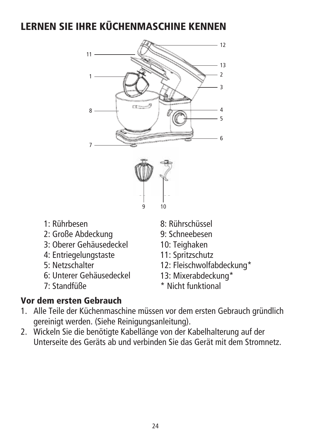#### LERNEN SIE IHRE KÜCHENMASCHINE KENNEN



- 1: Rührbesen
- 2: Große Abdeckung
- 3: Oberer Gehäusedeckel
- 4: Entriegelungstaste
- 5: Netzschalter
- 6: Unterer Gehäusedeckel
- 7: Standfüße
- 8: Rührschüssel
- 9: Schneebesen
- 10: Teighaken
- 11: Spritzschutz
- 12: Fleischwolfabdeckung\*
- 13: Mixerabdeckung\*
- \* Nicht funktional

#### Vor dem ersten Gebrauch

- 1. Alle Teile der Küchenmaschine müssen vor dem ersten Gebrauch gründlich gereinigt werden. (Siehe Reinigungsanleitung).
- 2. Wickeln Sie die benötigte Kabellänge von der Kabelhalterung auf der Unterseite des Geräts ab und verbinden Sie das Gerät mit dem Stromnetz.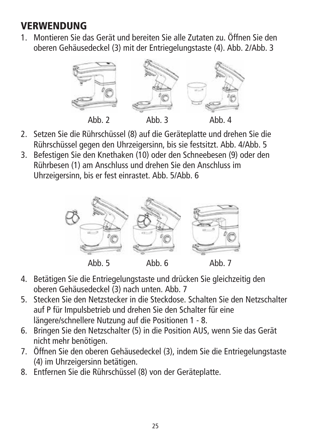#### **VERWENDUNG**

1. Montieren Sie das Gerät und bereiten Sie alle Zutaten zu. Öffnen Sie den oberen Gehäusedeckel (3) mit der Entriegelungstaste (4). Abb. 2/Abb. 3



- 2. Setzen Sie die Rührschüssel (8) auf die Geräteplatte und drehen Sie die Rührschüssel gegen den Uhrzeigersinn, bis sie festsitzt. Abb. 4/Abb. 5
- 3. Befestigen Sie den Knethaken (10) oder den Schneebesen (9) oder den Rührbesen (1) am Anschluss und drehen Sie den Anschluss im Uhrzeigersinn, bis er fest einrastet. Abb. 5/Abb. 6



- 4. Betätigen Sie die Entriegelungstaste und drücken Sie gleichzeitig den oberen Gehäusedeckel (3) nach unten. Abb. 7
- 5. Stecken Sie den Netzstecker in die Steckdose. Schalten Sie den Netzschalter auf P für Impulsbetrieb und drehen Sie den Schalter für eine längere/schnellere Nutzung auf die Positionen 1 - 8.
- 6. Bringen Sie den Netzschalter (5) in die Position AUS, wenn Sie das Gerät nicht mehr benötigen.
- 7. Öffnen Sie den oberen Gehäusedeckel (3), indem Sie die Entriegelungstaste (4) im Uhrzeigersinn betätigen.
- 8. Entfernen Sie die Rührschüssel (8) von der Geräteplatte.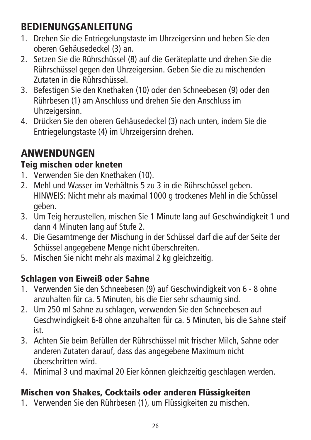## BEDIENUNGSANLEITUNG

- 1. Drehen Sie die Entriegelungstaste im Uhrzeigersinn und heben Sie den oberen Gehäusedeckel (3) an.
- 2. Setzen Sie die Rührschüssel (8) auf die Geräteplatte und drehen Sie die Rührschüssel gegen den Uhrzeigersinn. Geben Sie die zu mischenden Zutaten in die Rührschüssel.
- 3. Befestigen Sie den Knethaken (10) oder den Schneebesen (9) oder den Rührbesen (1) am Anschluss und drehen Sie den Anschluss im Uhrzeigersinn.
- 4. Drücken Sie den oberen Gehäusedeckel (3) nach unten, indem Sie die Entriegelungstaste (4) im Uhrzeigersinn drehen.

## ANWENDUNGEN

#### Teig mischen oder kneten

- 1. Verwenden Sie den Knethaken (10).
- 2. Mehl und Wasser im Verhältnis 5 zu 3 in die Rührschüssel geben. HINWEIS: Nicht mehr als maximal 1000 g trockenes Mehl in die Schüssel geben.
- 3. Um Teig herzustellen, mischen Sie 1 Minute lang auf Geschwindigkeit 1 und dann 4 Minuten lang auf Stufe 2.
- 4. Die Gesamtmenge der Mischung in der Schüssel darf die auf der Seite der Schüssel angegebene Menge nicht überschreiten.
- 5. Mischen Sie nicht mehr als maximal 2 kg gleichzeitig.

#### Schlagen von Eiweiß oder Sahne

- 1. Verwenden Sie den Schneebesen (9) auf Geschwindigkeit von 6 8 ohne anzuhalten für ca. 5 Minuten, bis die Eier sehr schaumig sind.
- 2. Um 250 ml Sahne zu schlagen, verwenden Sie den Schneebesen auf Geschwindigkeit 6-8 ohne anzuhalten für ca. 5 Minuten, bis die Sahne steif ist.
- 3. Achten Sie beim Befüllen der Rührschüssel mit frischer Milch, Sahne oder anderen Zutaten darauf, dass das angegebene Maximum nicht überschritten wird.
- 4. Minimal 3 und maximal 20 Eier können gleichzeitig geschlagen werden.

#### Mischen von Shakes, Cocktails oder anderen Flüssigkeiten

1. Verwenden Sie den Rührbesen (1), um Flüssigkeiten zu mischen.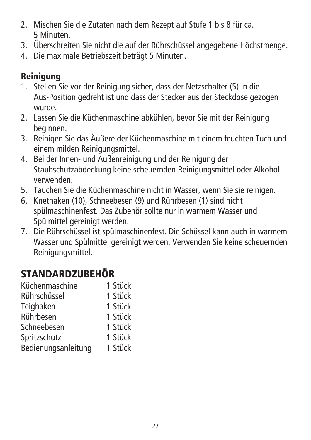- 2. Mischen Sie die Zutaten nach dem Rezept auf Stufe 1 bis 8 für ca. 5 Minuten.
- 3. Überschreiten Sie nicht die auf der Rührschüssel angegebene Höchstmenge.
- 4. Die maximale Betriebszeit beträgt 5 Minuten.

#### **Reiniauna**

- 1. Stellen Sie vor der Reinigung sicher, dass der Netzschalter (5) in die Aus-Position gedreht ist und dass der Stecker aus der Steckdose gezogen wurde.
- 2. Lassen Sie die Küchenmaschine abkühlen, bevor Sie mit der Reinigung beginnen.
- 3. Reinigen Sie das Äußere der Küchenmaschine mit einem feuchten Tuch und einem milden Reinigungsmittel.
- 4. Bei der Innen- und Außenreinigung und der Reinigung der Staubschutzabdeckung keine scheuernden Reinigungsmittel oder Alkohol verwenden.
- 5. Tauchen Sie die Küchenmaschine nicht in Wasser, wenn Sie sie reinigen.
- 6. Knethaken (10), Schneebesen (9) und Rührbesen (1) sind nicht spülmaschinenfest. Das Zubehör sollte nur in warmem Wasser und Spülmittel gereinigt werden.
- 7. Die Rührschüssel ist spülmaschinenfest. Die Schüssel kann auch in warmem Wasser und Spülmittel gereinigt werden. Verwenden Sie keine scheuernden Reinigungsmittel.

## STANDARDZUBEHÖR

| 1 Stück |
|---------|
| 1 Stück |
| 1 Stück |
| 1 Stück |
| 1 Stück |
| 1 Stück |
| 1 Stück |
|         |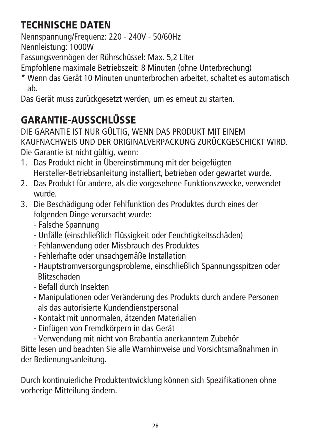## TECHNISCHE DATEN

Nennspannung/Frequenz: 220 - 240V - 50/60Hz

Nennleistung: 1000W

Fassungsvermögen der Rührschüssel: Max. 5,2 Liter

Empfohlene maximale Betriebszeit: 8 Minuten (ohne Unterbrechung)

\* Wenn das Gerät 10 Minuten ununterbrochen arbeitet, schaltet es automatisch ab.

Das Gerät muss zurückgesetzt werden, um es erneut zu starten.

## GARANTIE-AUSSCHI ÜSSE

DIE GARANTIE IST NUR GÜLTIG, WENN DAS PRODUKT MIT EINEM KAUFNACHWEIS UND DER ORIGINALVERPACKUNG ZURÜCKGESCHICKT WIRD. Die Garantie ist nicht gültig, wenn:

- 1. Das Produkt nicht in Übereinstimmung mit der beigefügten Hersteller-Betriebsanleitung installiert, betrieben oder gewartet wurde.
- 2. Das Produkt für andere, als die vorgesehene Funktionszwecke, verwendet wurde.
- 3. Die Beschädigung oder Fehlfunktion des Produktes durch eines der folgenden Dinge verursacht wurde:
	- Falsche Spannung
	- Unfälle (einschließlich Flüssigkeit oder Feuchtigkeitsschäden)
	- Fehlanwendung oder Missbrauch des Produktes
	- Fehlerhafte oder unsachgemäße Installation
	- Hauptstromversorgungsprobleme, einschließlich Spannungsspitzen oder Blitzschaden
	- Befall durch Insekten
	- Manipulationen oder Veränderung des Produkts durch andere Personen als das autorisierte Kundendienstpersonal
	- Kontakt mit unnormalen, ätzenden Materialien
	- Einfügen von Fremdkörpern in das Gerät
	- Verwendung mit nicht von Brabantia anerkanntem Zubehör

Bitte lesen und beachten Sie alle Warnhinweise und Vorsichtsmaßnahmen in der Bedienungsanleitung.

Durch kontinuierliche Produktentwicklung können sich Spezifikationen ohne vorherige Mitteilung ändern.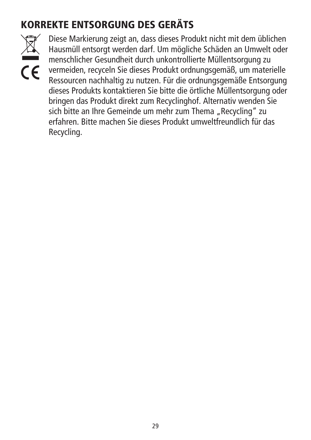## KORREKTE ENTSORGUNG DES GERÄTS



Diese Markierung zeigt an, dass dieses Produkt nicht mit dem üblichen Hausmüll entsorgt werden darf. Um mögliche Schäden an Umwelt oder menschlicher Gesundheit durch unkontrollierte Müllentsorgung zu vermeiden, recyceln Sie dieses Produkt ordnungsgemäß, um materielle Ressourcen nachhaltig zu nutzen. Für die ordnungsgemäße Entsorgung dieses Produkts kontaktieren Sie bitte die örtliche Müllentsorgung oder bringen das Produkt direkt zum Recyclinghof. Alternativ wenden Sie sich bitte an Ihre Gemeinde um mehr zum Thema "Recycling" zu erfahren. Bitte machen Sie dieses Produkt umweltfreundlich für das Recycling.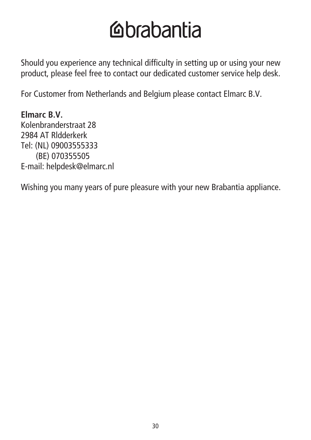## **Mabantia**

Should you experience any technical difficulty in setting up or using your new product, please feel free to contact our dedicated customer service help desk.

For Customer from Netherlands and Belgium please contact Elmarc B.V.

**Elmarc B.V.** Kolenbranderstraat 28 2984 AT Rldderkerk Tel: (NL) 09003555333 (BE) 070355505 E-mail: helpdesk@elmarc.nl

Wishing you many years of pure pleasure with your new Brabantia appliance.